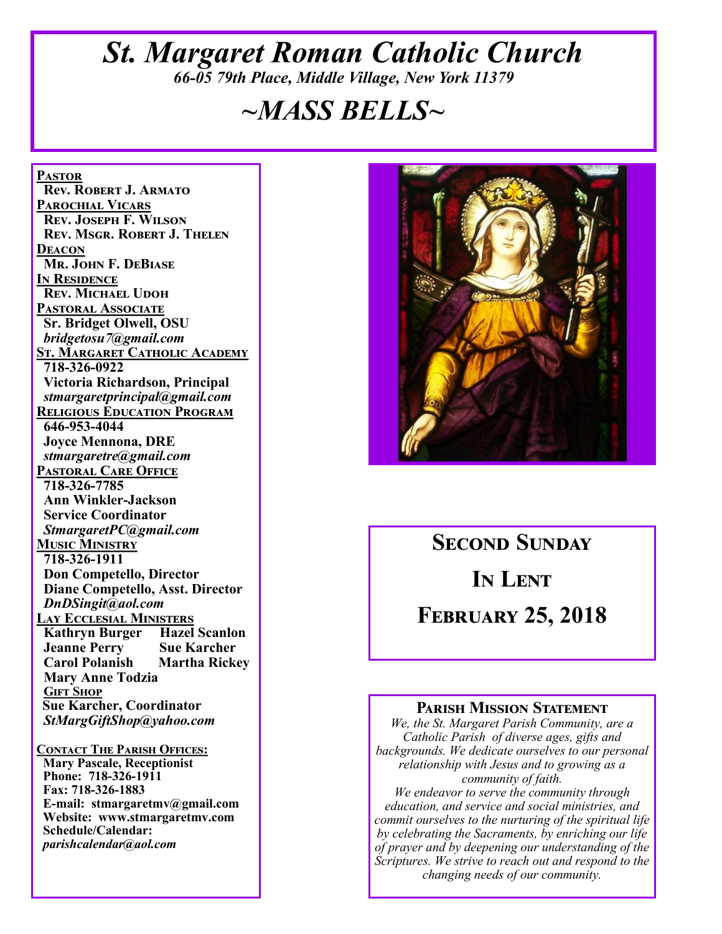### *St. Margaret Roman Catholic Church 66-05 79th Place, Middle Village, New York 11379*

# *~MASS BELLS~*

**Pastor Rev. Robert J. Armato Parochial Vicars Rev. Joseph F. Wilson Rev. Msgr. Robert J. Thelen Deacon Mr. John F. DeBiase In Residence Rev. Michael Udoh Pastoral Associate Sr. Bridget Olwell, OSU**  *bridgetosu7@gmail.com* **St. Margaret Catholic Academy 718-326-0922 Victoria Richardson, Principal**  *stmargaretprincipal@gmail.com* **Religious Education Program 646-953-4044 Joyce Mennona, DRE** *stmargaretre@gmail.com* **Pastoral Care Office 718-326-7785 Ann Winkler-Jackson Service Coordinator** *StmargaretPC@gmail.com* **Music Ministry 718-326-1911 Don Competello, Director Diane Competello, Asst. Director** *DnDSingit@aol.com* **Lay Ecclesial Ministers Kathryn Burger Hazel Scanlon Jeanne Perry Sue Karcher Martha Rickey Mary Anne Todzia Gift Shop Sue Karcher, Coordinator** *StMargGiftShop@yahoo.com*

**Contact The Parish Offices: Mary Pascale, Receptionist Phone: 718-326-1911 Fax: 718-326-1883 E-mail: stmargaretmv@gmail.com Website: www.stmargaretmv.com Schedule/Calendar:** *parishcalendar@aol.com* 



# **Second Sunday**

**In Lent** 

**February 25, 2018** 

#### **Parish Mission Statement**

*We, the St. Margaret Parish Community, are a Catholic Parish of diverse ages, gifts and backgrounds. We dedicate ourselves to our personal relationship with Jesus and to growing as a community of faith.*

*We endeavor to serve the community through education, and service and social ministries, and commit ourselves to the nurturing of the spiritual life by celebrating the Sacraments, by enriching our life of prayer and by deepening our understanding of the Scriptures. We strive to reach out and respond to the changing needs of our community.*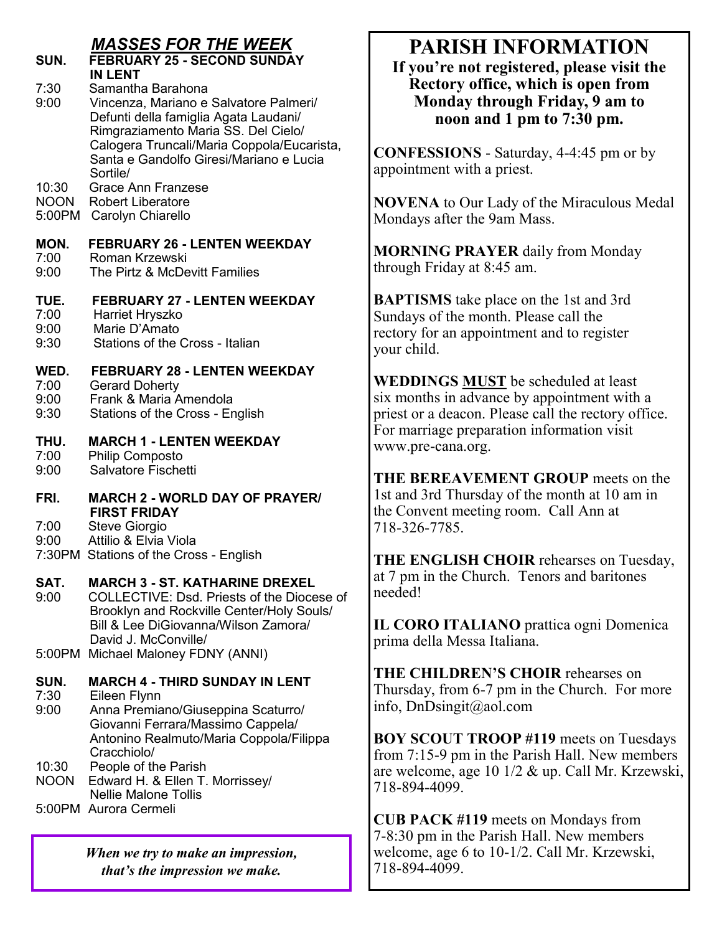### *MASSES FOR THE WEEK*

- **SUN. FEBRUARY 25 - SECOND SUNDAY IN LENT**<br>7:30 Samanth
- 7:30 Samantha Barahona<br>9:00 Vincenza, Mariano e 9:00 Vincenza, Mariano e Salvatore Palmeri/ Defunti della famiglia Agata Laudani/ Rimgraziamento Maria SS. Del Cielo/ Calogera Truncali/Maria Coppola/Eucarista, Santa e Gandolfo Giresi/Mariano e Lucia
- Sortile/<br>10:30 Grace A Grace Ann Franzese
- NOON Robert Liberatore
- 5:00PM Carolyn Chiarello

#### **MON. FEBRUARY 26 - LENTEN WEEKDAY**

- 7:00 Roman Krzewski
- The Pirtz & McDevitt Families

### **TUE. FEBRUARY 27 - LENTEN WEEKDAY**

- 7:00 Harriet Hryszko
- 9:00 Marie D'Amato
- 9:30 Stations of the Cross Italian

#### **WED. FEBRUARY 28 - LENTEN WEEKDAY**

- 7:00 Gerard Doherty
- 9:00 Frank & Maria Amendola
- 9:30 Stations of the Cross English

#### **THU. MARCH 1 - LENTEN WEEKDAY**

- 7:00 Philip Composto
- 9:00 Salvatore Fischetti
- **FRI. MARCH 2 - WORLD DAY OF PRAYER/ FIRST FRIDAY**<br>7:00 Steve Giorgio
- 7:00 Steve Giorgio
- Attilio & Elvia Viola
- 7:30PM Stations of the Cross English

## **SAT. MARCH 3 - ST. KATHARINE DREXEL** 9:00 COLLECTIVE: Dsd. Priests of the Dioce

- 9:00 COLLECTIVE: Dsd. Priests of the Diocese of Brooklyn and Rockville Center/Holy Souls/ Bill & Lee DiGiovanna/Wilson Zamora/ David J. McConville/
- 5:00PM Michael Maloney FDNY (ANNI)

### **SUN. MARCH 4 - THIRD SUNDAY IN LENT**

- 7:30 Eileen Flynn
- 9:00 Anna Premiano/Giuseppina Scaturro/ Giovanni Ferrara/Massimo Cappela/ Antonino Realmuto/Maria Coppola/Filippa Cracchiolo/
- 10:30 People of the Parish
- NOON Edward H. & Ellen T. Morrissey/ Nellie Malone Tollis
- 5:00PM Aurora Cermeli

*When we try to make an impression, that's the impression we make.*

# **PARISH INFORMATION**

**If you're not registered, please visit the Rectory office, which is open from Monday through Friday, 9 am to noon and 1 pm to 7:30 pm.**

**CONFESSIONS** - Saturday, 4-4:45 pm or by appointment with a priest.

**NOVENA** to Our Lady of the Miraculous Medal Mondays after the 9am Mass.

**MORNING PRAYER** daily from Monday through Friday at 8:45 am.

**BAPTISMS** take place on the 1st and 3rd Sundays of the month. Please call the rectory for an appointment and to register your child.

**WEDDINGS MUST** be scheduled at least six months in advance by appointment with a priest or a deacon. Please call the rectory office. For marriage preparation information visit www.pre-cana.org.

**THE BEREAVEMENT GROUP** meets on the 1st and 3rd Thursday of the month at 10 am in the Convent meeting room. Call Ann at 718-326-7785.

**THE ENGLISH CHOIR** rehearses on Tuesday, at 7 pm in the Church. Tenors and baritones needed!

**IL CORO ITALIANO** prattica ogni Domenica prima della Messa Italiana.

**THE CHILDREN'S CHOIR** rehearses on Thursday, from 6-7 pm in the Church. For more info, DnDsingit@aol.com

**BOY SCOUT TROOP #119** meets on Tuesdays from 7:15-9 pm in the Parish Hall. New members are welcome, age 10 1/2 & up. Call Mr. Krzewski, 718-894-4099.

**CUB PACK #119** meets on Mondays from 7-8:30 pm in the Parish Hall. New members welcome, age 6 to 10-1/2. Call Mr. Krzewski, 718-894-4099.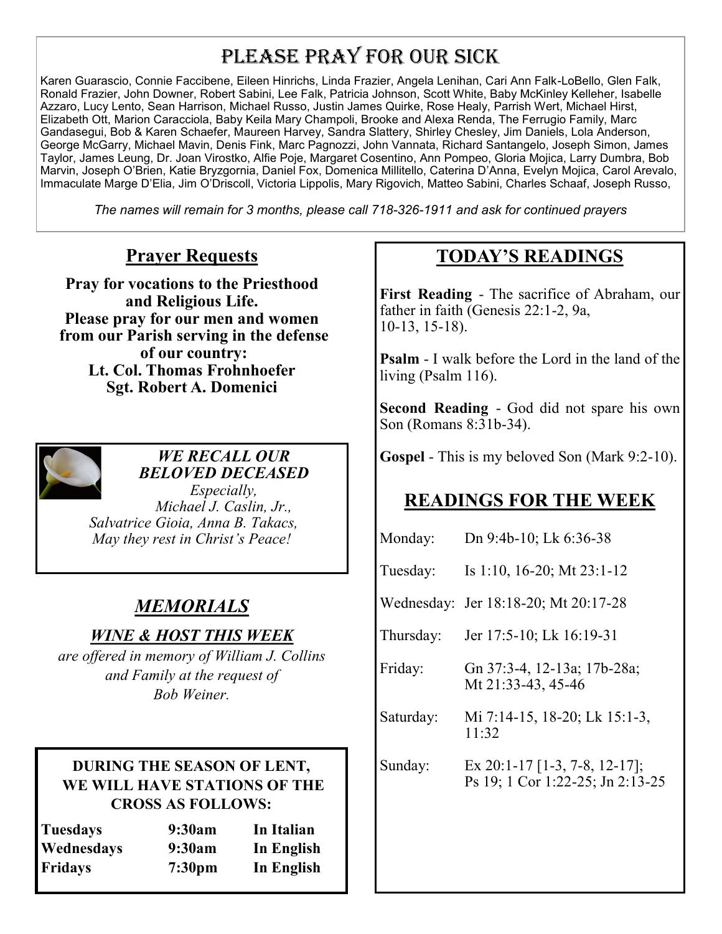## PLEASE PRAY FOR OUR SICK

Karen Guarascio, Connie Faccibene, Eileen Hinrichs, Linda Frazier, Angela Lenihan, Cari Ann Falk-LoBello, Glen Falk, Ronald Frazier, John Downer, Robert Sabini, Lee Falk, Patricia Johnson, Scott White, Baby McKinley Kelleher, Isabelle Azzaro, Lucy Lento, Sean Harrison, Michael Russo, Justin James Quirke, Rose Healy, Parrish Wert, Michael Hirst, Elizabeth Ott, Marion Caracciola, Baby Keila Mary Champoli, Brooke and Alexa Renda, The Ferrugio Family, Marc Gandasegui, Bob & Karen Schaefer, Maureen Harvey, Sandra Slattery, Shirley Chesley, Jim Daniels, Lola Anderson, George McGarry, Michael Mavin, Denis Fink, Marc Pagnozzi, John Vannata, Richard Santangelo, Joseph Simon, James Taylor, James Leung, Dr. Joan Virostko, Alfie Poje, Margaret Cosentino, Ann Pompeo, Gloria Mojica, Larry Dumbra, Bob Marvin, Joseph O'Brien, Katie Bryzgornia, Daniel Fox, Domenica Millitello, Caterina D'Anna, Evelyn Mojica, Carol Arevalo, Immaculate Marge D'Elia, Jim O'Driscoll, Victoria Lippolis, Mary Rigovich, Matteo Sabini, Charles Schaaf, Joseph Russo,

*The names will remain for 3 months, please call 718-326-1911 and ask for continued prayers*

#### **Prayer Requests**

**Pray for vocations to the Priesthood and Religious Life. Please pray for our men and women from our Parish serving in the defense of our country: Lt. Col. Thomas Frohnhoefer Sgt. Robert A. Domenici** 



*WE RECALL OUR BELOVED DECEASED*

*Especially, Michael J. Caslin, Jr., Salvatrice Gioia, Anna B. Takacs, May they rest in Christ's Peace!*

### *MEMORIALS*

#### *WINE & HOST THIS WEEK*

*are offered in memory of William J. Collins and Family at the request of Bob Weiner.*

#### **DURING THE SEASON OF LENT, WE WILL HAVE STATIONS OF THE CROSS AS FOLLOWS:**

| <b>Tuesdays</b> | 9:30am             | In Italian |
|-----------------|--------------------|------------|
| Wednesdays      | 9:30am             | In English |
| Fridays         | 7:30 <sub>pm</sub> | In English |

### **TODAY'S READINGS**

**First Reading** - The sacrifice of Abraham, our father in faith (Genesis 22:1-2, 9a, 10-13, 15-18).

**Psalm** - I walk before the Lord in the land of the living (Psalm 116).

**Second Reading** - God did not spare his own Son (Romans 8:31b-34).

**Gospel** - This is my beloved Son (Mark 9:2-10).

### **READINGS FOR THE WEEK**

| Monday:   | Dn 9:4b-10; Lk 6:36-38                                            |
|-----------|-------------------------------------------------------------------|
| Tuesday:  | Is 1:10, 16-20; Mt 23:1-12                                        |
|           | Wednesday: Jer 18:18-20; Mt 20:17-28                              |
| Thursday: | Jer 17:5-10; Lk 16:19-31                                          |
| Friday:   | Gn 37:3-4, 12-13a; 17b-28a;<br>Mt 21:33-43, 45-46                 |
| Saturday: | Mi 7:14-15, 18-20; Lk 15:1-3,<br>11:32                            |
| Sunday:   | Ex 20:1-17 [1-3, 7-8, 12-17];<br>Ps 19; 1 Cor 1:22-25; Jn 2:13-25 |
|           |                                                                   |
|           |                                                                   |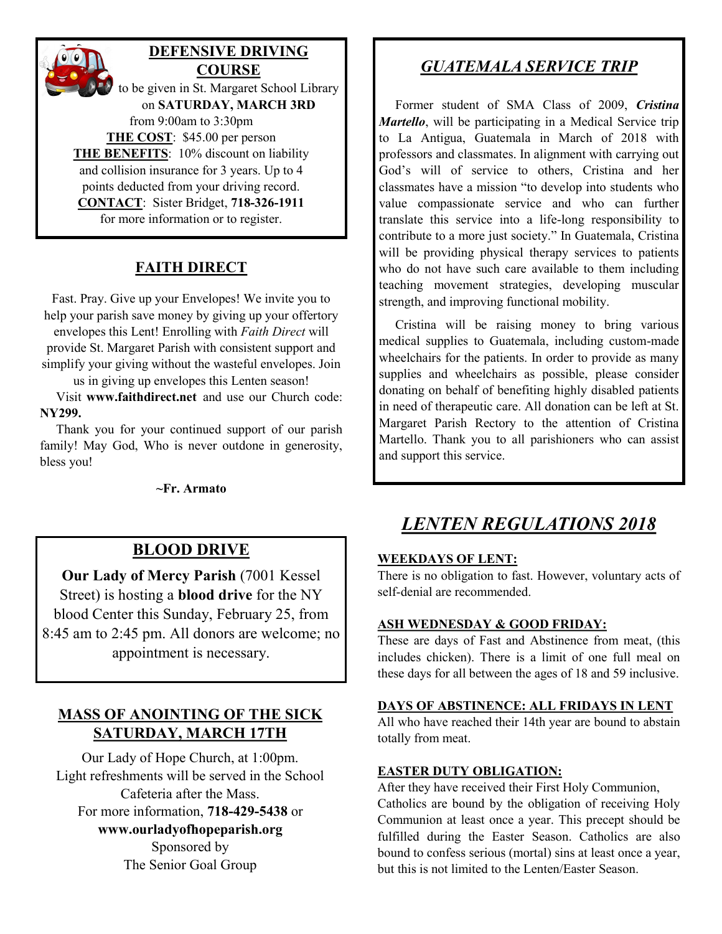

#### **FAITH DIRECT**

Fast. Pray. Give up your Envelopes! We invite you to help your parish save money by giving up your offertory envelopes this Lent! Enrolling with *Faith Direct* will provide St. Margaret Parish with consistent support and simplify your giving without the wasteful envelopes. Join

us in giving up envelopes this Lenten season!

 Visit **www.faithdirect.net** and use our Church code: **NY299.**

 Thank you for your continued support of our parish family! May God, Who is never outdone in generosity, bless you!

**~Fr. Armato**

#### **BLOOD DRIVE**

**Our Lady of Mercy Parish** (7001 Kessel Street) is hosting a **blood drive** for the NY blood Center this Sunday, February 25, from 8:45 am to 2:45 pm. All donors are welcome; no appointment is necessary.

#### **MASS OF ANOINTING OF THE SICK SATURDAY, MARCH 17TH**

Our Lady of Hope Church, at 1:00pm. Light refreshments will be served in the School Cafeteria after the Mass. For more information, **718-429-5438** or **www.ourladyofhopeparish.org** Sponsored by The Senior Goal Group

#### *GUATEMALA SERVICE TRIP*

 Former student of SMA Class of 2009, *Cristina Martello*, will be participating in a Medical Service trip to La Antigua, Guatemala in March of 2018 with professors and classmates. In alignment with carrying out God's will of service to others, Cristina and her classmates have a mission "to develop into students who value compassionate service and who can further translate this service into a life-long responsibility to contribute to a more just society." In Guatemala, Cristina will be providing physical therapy services to patients who do not have such care available to them including teaching movement strategies, developing muscular strength, and improving functional mobility.

 Cristina will be raising money to bring various medical supplies to Guatemala, including custom-made wheelchairs for the patients. In order to provide as many supplies and wheelchairs as possible, please consider donating on behalf of benefiting highly disabled patients in need of therapeutic care. All donation can be left at St. Margaret Parish Rectory to the attention of Cristina Martello. Thank you to all parishioners who can assist and support this service.

### *LENTEN REGULATIONS 2018*

#### **WEEKDAYS OF LENT:**

There is no obligation to fast. However, voluntary acts of self-denial are recommended.

#### **ASH WEDNESDAY & GOOD FRIDAY:**

These are days of Fast and Abstinence from meat, (this includes chicken). There is a limit of one full meal on these days for all between the ages of 18 and 59 inclusive.

#### **DAYS OF ABSTINENCE: ALL FRIDAYS IN LENT**

All who have reached their 14th year are bound to abstain totally from meat.

#### **EASTER DUTY OBLIGATION:**

After they have received their First Holy Communion, Catholics are bound by the obligation of receiving Holy Communion at least once a year. This precept should be fulfilled during the Easter Season. Catholics are also bound to confess serious (mortal) sins at least once a year, but this is not limited to the Lenten/Easter Season.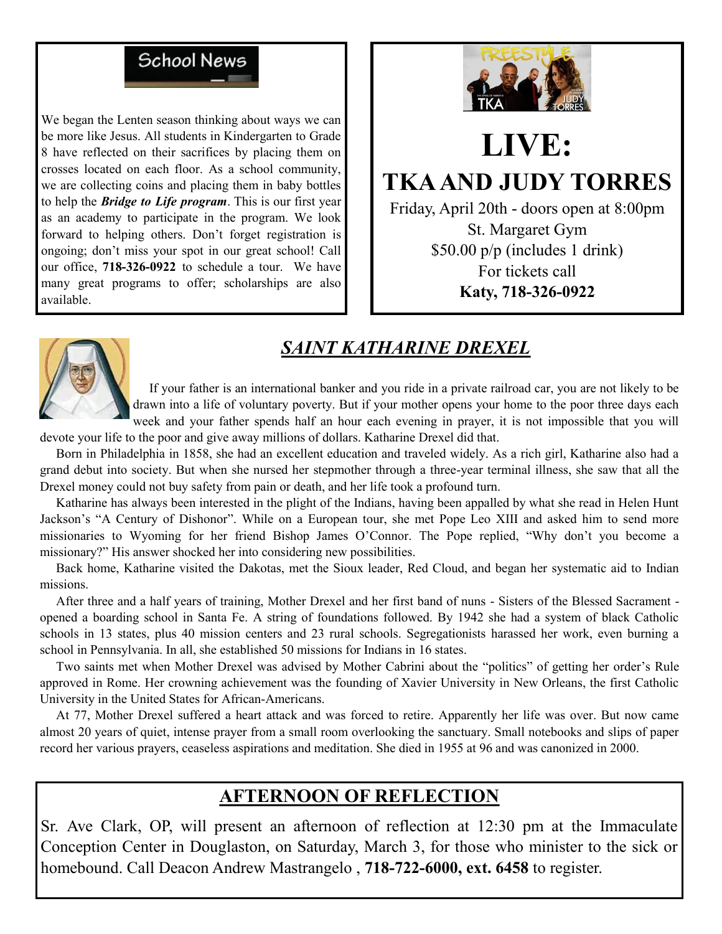### **School News**

We began the Lenten season thinking about ways we can be more like Jesus. All students in Kindergarten to Grade 8 have reflected on their sacrifices by placing them on crosses located on each floor. As a school community, we are collecting coins and placing them in baby bottles to help the *Bridge to Life program*. This is our first year as an academy to participate in the program. We look forward to helping others. Don't forget registration is ongoing; don't miss your spot in our great school! Call our office, **718-326-0922** to schedule a tour. We have many great programs to offer; scholarships are also available.



# **LIVE: TKA AND JUDY TORRES**

Friday, April 20th - doors open at 8:00pm St. Margaret Gym \$50.00 p/p (includes 1 drink) For tickets call **Katy, 718-326-0922**

### *SAINT KATHARINE DREXEL*



 If your father is an international banker and you ride in a private railroad car, you are not likely to be drawn into a life of voluntary poverty. But if your mother opens your home to the poor three days each week and your father spends half an hour each evening in prayer, it is not impossible that you will

devote your life to the poor and give away millions of dollars. Katharine Drexel did that.

 Born in Philadelphia in 1858, she had an excellent education and traveled widely. As a rich girl, Katharine also had a grand debut into society. But when she nursed her stepmother through a three-year terminal illness, she saw that all the Drexel money could not buy safety from pain or death, and her life took a profound turn.

 Katharine has always been interested in the plight of the Indians, having been appalled by what she read in Helen Hunt Jackson's "A Century of Dishonor". While on a European tour, she met Pope Leo XIII and asked him to send more missionaries to Wyoming for her friend Bishop James O'Connor. The Pope replied, "Why don't you become a missionary?" His answer shocked her into considering new possibilities.

 Back home, Katharine visited the Dakotas, met the Sioux leader, Red Cloud, and began her systematic aid to Indian missions.

 After three and a half years of training, Mother Drexel and her first band of nuns - Sisters of the Blessed Sacrament opened a boarding school in Santa Fe. A string of foundations followed. By 1942 she had a system of black Catholic schools in 13 states, plus 40 mission centers and 23 rural schools. Segregationists harassed her work, even burning a school in Pennsylvania. In all, she established 50 missions for Indians in 16 states.

 Two saints met when Mother Drexel was advised by Mother Cabrini about the "politics" of getting her order's Rule approved in Rome. Her crowning achievement was the founding of Xavier University in New Orleans, the first Catholic University in the United States for African-Americans.

 At 77, Mother Drexel suffered a heart attack and was forced to retire. Apparently her life was over. But now came almost 20 years of quiet, intense prayer from a small room overlooking the sanctuary. Small notebooks and slips of paper record her various prayers, ceaseless aspirations and meditation. She died in 1955 at 96 and was canonized in 2000.

### **AFTERNOON OF REFLECTION**

Sr. Ave Clark, OP, will present an afternoon of reflection at 12:30 pm at the Immaculate Conception Center in Douglaston, on Saturday, March 3, for those who minister to the sick or homebound. Call Deacon Andrew Mastrangelo , **718-722-6000, ext. 6458** to register.